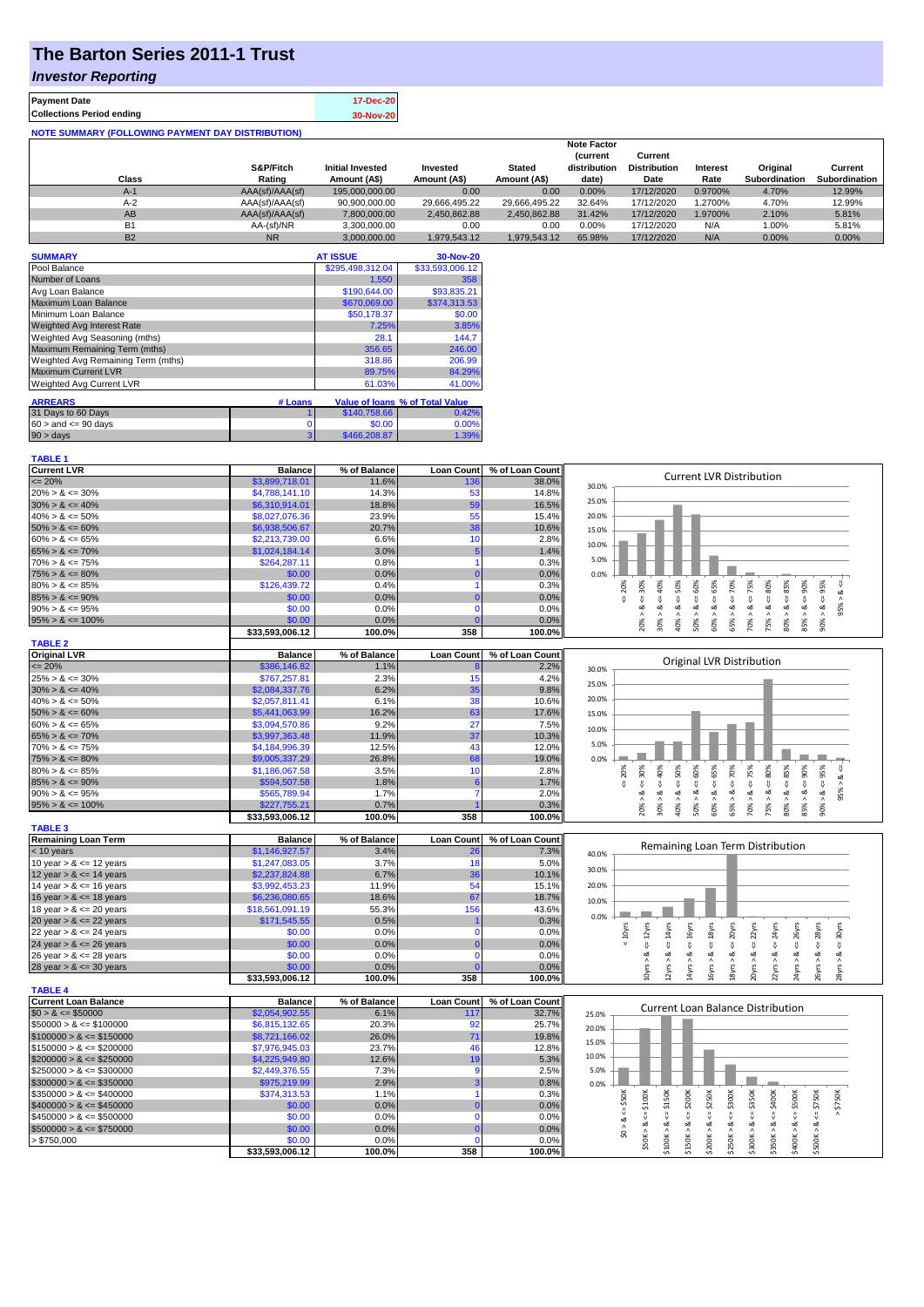## **The Barton Series 2011-1 Trust**

#### *Investor Reporting*

**TABLE 1**

| <b>Payment Date</b>                                      | 17-Dec-20 |
|----------------------------------------------------------|-----------|
| <b>Collections Period ending</b>                         | 30-Nov-20 |
| <b>NOTE SUMMARY (FOLLOWING PAYMENT DAY DISTRIBUTION)</b> |           |

|           |                 |                         |               |               | <b>Note Factor</b> |                     |                 |               |               |
|-----------|-----------------|-------------------------|---------------|---------------|--------------------|---------------------|-----------------|---------------|---------------|
|           |                 |                         |               |               | <b>Current</b>     | Current             |                 |               |               |
|           | S&P/Fitch       | <b>Initial Invested</b> | Invested      | <b>Stated</b> | distribution       | <b>Distribution</b> | <b>Interest</b> | Original      | Current       |
| Class     | Rating          | Amount (A\$)            | Amount (A\$)  | Amount (A\$)  | date)              | Date                | Rate            | Subordination | Subordination |
| $A-1$     | AAA(sf)/AAA(sf) | 195.000.000.00          | 0.00          | 0.00          | 0.00%              | 17/12/2020          | 0.9700%         | 4.70%         | 12.99%        |
| $A-2$     | AAA(sf)/AAA(sf) | 90,900,000.00           | 29.666.495.22 | 29.666.495.22 | 32.64%             | 17/12/2020          | 1.2700%         | 4.70%         | 12.99%        |
| AB        | AAA(sf)/AAA(sf) | 7.800.000.00            | 2.450.862.88  | 2.450.862.88  | 31.42%             | 17/12/2020          | 1.9700%         | 2.10%         | 5.81%         |
| <b>B1</b> | AA-(sf)/NR      | 3.300.000.00            | 0.00          | 0.00          | 0.00%              | 17/12/2020          | N/A             | 1.00%         | 5.81%         |
| <b>B2</b> | <b>NR</b>       | 3.000.000.00            | 1.979.543.12  | 1.979.543.12  | 65.98%             | 17/12/2020          | N/A             | 0.00%         | 0.00%         |

| <b>SUMMARY</b>                     |          | <b>AT ISSUE</b>  | 30-Nov-20                       |
|------------------------------------|----------|------------------|---------------------------------|
| Pool Balance                       |          | \$295.498.312.04 | \$33,593,006.12                 |
| Number of Loans                    |          | 1,550            | 358                             |
| Avg Loan Balance                   |          | \$190,644.00     | \$93,835.21                     |
| Maximum Loan Balance               |          | \$670,069.00     | \$374,313.53                    |
| Minimum Loan Balance               |          | \$50.178.37      | \$0.00                          |
| <b>Weighted Avg Interest Rate</b>  |          | 7.25%            | 3.85%                           |
| Weighted Avg Seasoning (mths)      |          | 28.1             | 144.7                           |
| Maximum Remaining Term (mths)      |          | 356.65           | 246.00                          |
| Weighted Avg Remaining Term (mths) |          | 318.86           | 206.99                          |
| <b>Maximum Current LVR</b>         |          | 89.75%           | 84.29%                          |
| <b>Weighted Avg Current LVR</b>    |          | 61.03%           | 41.00%                          |
|                                    |          |                  |                                 |
| <b>ARREARS</b>                     | # Loans  |                  | Value of Ioans % of Total Value |
| 31 Days to 60 Days                 |          | \$140,758.66     | 0.42%                           |
| $60 >$ and $\leq 90$ days          | $\Omega$ | \$0.00           | 0.00%                           |
| 90 > days                          | 3        | \$466,208,87     | 1.39%                           |

| <b>Current LVR</b>          | <b>Balance</b>  | % of Balance | <b>Loan Count</b> | % of Loan Count | <b>Current LVR Distribution</b>                                                                                                                                                                              |
|-----------------------------|-----------------|--------------|-------------------|-----------------|--------------------------------------------------------------------------------------------------------------------------------------------------------------------------------------------------------------|
| $= 20%$                     | \$3,899,718.01  | 11.6%        | 136               | 38.0%           | 30.0%                                                                                                                                                                                                        |
| $20\% > 8 \le 30\%$         | \$4,788,141.10  | 14.3%        | 53                | 14.8%           |                                                                                                                                                                                                              |
| $30\% > 8 \le 40\%$         | \$6,310,914.01  | 18.8%        | 59                | 16.5%           | 25.0%                                                                                                                                                                                                        |
| $40\% > 8 \le 50\%$         | \$8,027,076.36  | 23.9%        | 55                | 15.4%           | 20.0%                                                                                                                                                                                                        |
| $50\% > 8 \le 60\%$         | \$6,938,506.67  | 20.7%        | 38                | 10.6%           | 15.0%                                                                                                                                                                                                        |
| $60\% > 8 \le 65\%$         | \$2,213,739.00  | 6.6%         | 10                | 2.8%            |                                                                                                                                                                                                              |
| $65\% > 8 \le 70\%$         | \$1,024,184.14  | 3.0%         |                   | 1.4%            | 10.0%                                                                                                                                                                                                        |
| $70\% > 8 \le 75\%$         | \$264,287.11    | 0.8%         |                   | 0.3%            | 5.0%                                                                                                                                                                                                         |
| $75\% > 8 \le 80\%$         | \$0.00          | 0.0%         | $\Omega$          | 0.0%            | 0.0%                                                                                                                                                                                                         |
| $80\% > 8 \le 85\%$         | \$126,439.72    | 0.4%         |                   | 0.3%            | << 70%<br>$4 = 30\%$                                                                                                                                                                                         |
| $85\% > 8 \le 90\%$         | \$0.00          | 0.0%         |                   | 0.0%            | $4 = 20\%$<br>$4 - 40\%$<br>$4 = 75%$<br>$s = 95%$<br>ವ                                                                                                                                                      |
| $90\% > 8 \le 95\%$         | \$0.00          | 0.0%         | $\Omega$          | 0.0%            | $<=60\%$<br>$<=65%$<br>$<=50\%$<br>$<=80\%$<br>95%<br>∞<br>ಷ<br>ಷ<br>œ<br>≪                                                                                                                                  |
| $95\% > 8 \le 100\%$        | \$0.00          | 0.0%         | C                 | 0.0%            | $80\% > 8 <= 85\%$<br>$85\% > 8 \leq 90\%$<br>90% ><br>20% ><br>30% ><br>40% ><br>$50\%$ ><br>60% ><br>65% ><br>70% ><br>75% >                                                                               |
|                             | \$33,593,006.12 | 100.0%       | 358               | 100.0%          |                                                                                                                                                                                                              |
| <b>TABLE 2</b>              |                 |              |                   |                 |                                                                                                                                                                                                              |
| <b>Original LVR</b>         | <b>Balance</b>  | % of Balance | <b>Loan Count</b> | % of Loan Count |                                                                                                                                                                                                              |
| $= 20%$                     | \$386,146.82    | 1.1%         |                   | 2.2%            | Original LVR Distribution                                                                                                                                                                                    |
| $25\% > 8 \le 30\%$         | \$767,257.81    | 2.3%         | 15                | 4.2%            | 30.0%                                                                                                                                                                                                        |
| $30\% > 8 \le 40\%$         | \$2,084,337.76  | 6.2%         | 35                | 9.8%            | 25.0%                                                                                                                                                                                                        |
|                             |                 | 6.1%         | 38                |                 | 20.0%                                                                                                                                                                                                        |
| $40\% > 8 \le 50\%$         | \$2,057,811.41  |              |                   | 10.6%           |                                                                                                                                                                                                              |
| $50\% > 8 \le 60\%$         | \$5,441,063.99  | 16.2%        | 63                | 17.6%           | 15.0%                                                                                                                                                                                                        |
| $60\% > 8 \le 65\%$         | \$3,094,570.86  | 9.2%         | 27                | 7.5%            | 10.0%                                                                                                                                                                                                        |
| $65\% > 8 \le 70\%$         | \$3,997,363.48  | 11.9%        | 37                | 10.3%           | 5.0%                                                                                                                                                                                                         |
| $70\% > 8 \le 75\%$         | \$4,184,996.39  | 12.5%        | 43                | 12.0%           |                                                                                                                                                                                                              |
| $75\% > 8 \le 80\%$         | \$9,005,337.29  | 26.8%        | 68                | 19.0%           | 0.0%                                                                                                                                                                                                         |
| $80\% > 8 \le 85\%$         | \$1,186,067.58  | 3.5%         | 10                | 2.8%            | 70%<br>$s = 30%$<br>$8 - 40%$<br>$<=50\%$<br>75%<br>20%<br>œ                                                                                                                                                 |
| $85\% > 8 \le 90\%$         | \$594,507.58    | 1.8%         | 6                 | 1.7%            | 8 < 1<br>ű<br>8 < 1<br>95% >                                                                                                                                                                                 |
| $90\% > 8 \le 95\%$         | \$565,789.94    | 1.7%         |                   | 2.0%            | $50\% > 8 \le 60\%$<br>$60\% > 8$ <= 65%<br>$75\% > 8 <= 80\%$<br>$80\% > 8 <= 85\%$<br>$85% > 8 < = 90%$<br>$90\% > 8 <= 95\%$<br>≪                                                                         |
| $95\% > 8 \le 100\%$        | \$227,755.21    | 0.7%         |                   | 0.3%            | 40% ><br>20% ><br>$30\%$ $>$<br>65% ><br>70% >                                                                                                                                                               |
|                             | \$33,593,006.12 | 100.0%       | 358               | 100.0%          |                                                                                                                                                                                                              |
| <b>TABLE 3</b>              |                 |              |                   |                 |                                                                                                                                                                                                              |
| <b>Remaining Loan Term</b>  | <b>Balance</b>  | % of Balance | <b>Loan Count</b> | % of Loan Count | Remaining Loan Term Distribution                                                                                                                                                                             |
| < 10 years                  | \$1,146,927.57  | 3.4%         | 26                | 7.3%            | 40.0%                                                                                                                                                                                                        |
| 10 year $> 8 \le 12$ years  | \$1,247,083.05  | 3.7%         | 18                | 5.0%            | 30.0%                                                                                                                                                                                                        |
| 12 year $> 8 \le 14$ years  | \$2,237,824.88  | 6.7%         | 36                | 10.1%           |                                                                                                                                                                                                              |
| 14 year $> 8 \le 16$ years  | \$3,992,453.23  | 11.9%        | 54                | 15.1%           | 20.0%                                                                                                                                                                                                        |
| 16 year $> 8 \le 18$ years  | \$6,236,080.65  | 18.6%        | 67                | 18.7%           | 10.0%                                                                                                                                                                                                        |
| 18 year $> 8 \le 20$ years  | \$18,561,091.19 | 55.3%        | 156               | 43.6%           | 0.0%                                                                                                                                                                                                         |
| 20 year $> 8 \le 22$ years  | \$171,545.55    | 0.5%         |                   | 0.3%            |                                                                                                                                                                                                              |
| 22 year $> 8 \le 24$ years  | \$0.00          | 0.0%         | $\Omega$          | 0.0%            | $\leq$ 14 $yrs$<br>$\leq$ 16 $y$ rs<br>$\leq$ = 18 $yrs$<br>20yrs<br>$\leq$ 22 $\gamma$ rs<br>$\epsilon = 12$ yrs<br>$\leq$ 24yrs<br>$\leq$ $26yrs$<br>$\leq$ = 28 $\gamma$ rs<br>$4 = 30$ yrs<br>$< 10$ yrs |
| 24 year $> 8 \le 26$ years  | \$0.00          | 0.0%         | $\Omega$          | 0.0%            | V                                                                                                                                                                                                            |
| 26 year $> 8 \le 28$ years  | \$0.00          | 0.0%         | C                 | 0.0%            |                                                                                                                                                                                                              |
| 28 year $> 8 \le 30$ years  | \$0.00          | 0.0%         |                   | 0.0%            | 12yrs > 8<br>20yrs > 8<br>24yrs > 8<br>22yrs > 8<br>28yrs > 8<br>14yrs > 8<br>16yrs > 8<br>26yrs > 8<br>10yrs > 8<br>18yrs > 8                                                                               |
|                             | \$33,593,006.12 | 100.0%       | 358               | 100.0%          |                                                                                                                                                                                                              |
| <b>TABLE 4</b>              |                 |              |                   |                 |                                                                                                                                                                                                              |
| <b>Current Loan Balance</b> | <b>Balance</b>  | % of Balance | <b>Loan Count</b> | % of Loan Count |                                                                                                                                                                                                              |
| $$0 > 8 \leq $50000$        | \$2,054,902.55  | 6.1%         | 117               | 32.7%           | <b>Current Loan Balance Distribution</b><br>25.0%                                                                                                                                                            |
| $$50000 > 8 \le $100000$    | \$6,815,132.65  | 20.3%        | 92                | 25.7%           | 20.0%                                                                                                                                                                                                        |
| $$100000 > 8 \leq $150000$  | \$8,721,166.02  | 26.0%        | 71                | 19.8%           |                                                                                                                                                                                                              |
| $$150000 > 8 \leq $200000$  | \$7,976,945.03  | 23.7%        | 46                | 12.8%           | 15.0%                                                                                                                                                                                                        |
| $$200000 > 8 \leq $250000$  | \$4,225,949.80  | 12.6%        | 19                | 5.3%            | 10.0%                                                                                                                                                                                                        |
| $$250000 > 8 \leq $300000$  | \$2,449,376.55  | 7.3%         | g                 | 2.5%            | 5.0%                                                                                                                                                                                                         |
| $$300000 > 8 \leq $350000$  | \$975,219.99    | 2.9%         |                   | 0.8%            | 0.0%                                                                                                                                                                                                         |
| $$350000 > 8 \leq $400000$  | \$374,313.53    | 1.1%         |                   | 0.3%            |                                                                                                                                                                                                              |
| $$400000 > 8 \leq $450000$  | \$0.00          | 0.0%         |                   | 0.0%            | $\Leftarrow$ \$150K<br>\$200K<br><b>\$250K</b><br>$4 = $50K$<br>$\Leftarrow$ \$500K<br>$4 = $750K$<br>\$750K                                                                                                 |
| $$450000 > 8 \leq $500000$  | \$0.00          | 0.0%         | $\Omega$          | 0.0%            | V<br><b>V</b>                                                                                                                                                                                                |
| $$500000 > 8 \leq $750000$  | \$0.00          | 0.0%         |                   | 0.0%            | \$0 > 8<br>ವ                                                                                                                                                                                                 |
| > \$750,000                 | \$0.00          | 0.0%         |                   | 0.0%            | $$250K > 8 \Leftarrow $300K$<br>$$50K > 8 \leftarrow $100K$<br>$$300K > 8 \Leftarrow $350K$<br>$$350K > 8 \le 5400K$<br>\$100K > 8<br>\$400K > 8<br>\$500K > 8<br>\$200K > 8<br>\$150K>                      |
|                             | \$33,593,006.12 | 100.0%       | 358               | 100.0%          |                                                                                                                                                                                                              |
|                             |                 |              |                   |                 |                                                                                                                                                                                                              |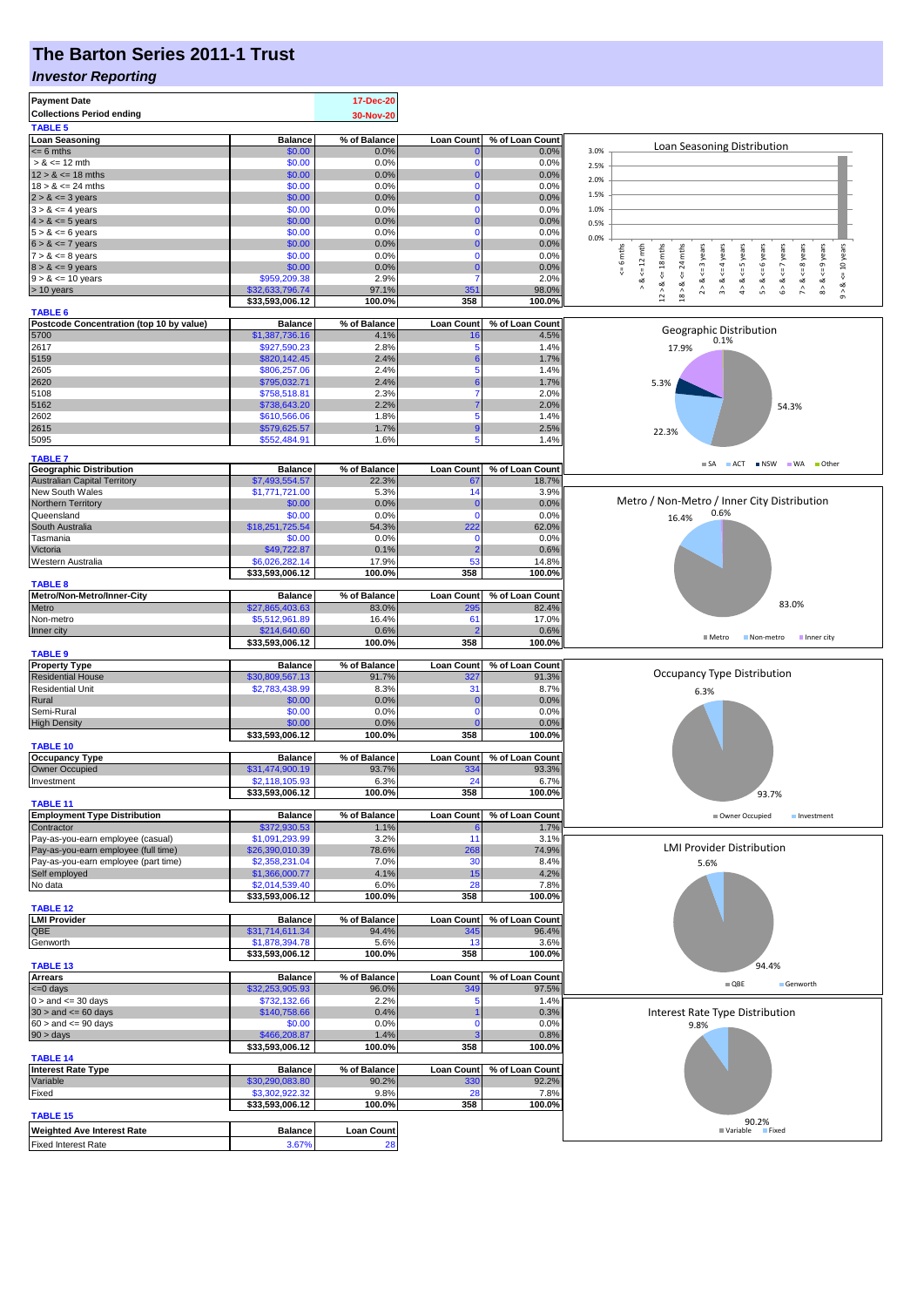### **The Barton Series 2011-1 Trust**

#### *Investor Reporting*

| <b>Payment Date</b><br><b>Collections Period ending</b><br><b>TABLE 5</b> |                                   | 17-Dec-20<br>30-Nov-20  |                   |                         |                                                                                                                                                                                                    |
|---------------------------------------------------------------------------|-----------------------------------|-------------------------|-------------------|-------------------------|----------------------------------------------------------------------------------------------------------------------------------------------------------------------------------------------------|
| <b>Loan Seasoning</b>                                                     | <b>Balance</b>                    | % of Balance            | <b>Loan Count</b> | % of Loan Count         |                                                                                                                                                                                                    |
| $= 6$ mths                                                                | \$0.00                            | 0.0%                    |                   | 0.0%                    | Loan Seasoning Distribution<br>3.0%                                                                                                                                                                |
| $> 8 \le 12$ mth                                                          | \$0.00                            | 0.0%                    | $\mathbf 0$       | 0.0%                    | 2.5%                                                                                                                                                                                               |
| $12 > 8 \le 18$ mths                                                      | \$0.00                            | 0.0%                    | 0                 | 0.0%                    | 2.0%                                                                                                                                                                                               |
| $18 > 8 \le 24$ mths                                                      | \$0.00                            | 0.0%                    | 0                 | 0.0%                    |                                                                                                                                                                                                    |
| $2 > 8 \le 3$ years                                                       | \$0.00                            | 0.0%                    | O                 | 0.0%                    | 1.5%                                                                                                                                                                                               |
| $3 > 8 \le 4$ years                                                       | \$0.00                            | 0.0%                    | 0                 | 0.0%                    | 1.0%                                                                                                                                                                                               |
| $4 > 8 \le 5$ years                                                       | \$0.00                            | 0.0%                    | 0                 | 0.0%                    | 0.5%                                                                                                                                                                                               |
| $5 > 8 \le 6$ years                                                       | \$0.00                            | 0.0%                    | $\mathbf 0$       | 0.0%                    | 0.0%                                                                                                                                                                                               |
| $6 > 8 \le 7$ years                                                       | \$0.00                            | 0.0%                    | 0                 | 0.0%                    |                                                                                                                                                                                                    |
| $7 > 8 \le 8$ years                                                       | \$0.00                            | 0.0%                    | $\mathbf 0$       | 0.0%                    | mths<br>6 mths<br>$k = 12$ mth<br>$<=$ 3 years<br>$<= 4$ years<br>$<=6$ years<br>$6 > 8 < z < 7$ years<br>$7 > 8 < 8$ years                                                                        |
| $8 > 8 \le 9$ years                                                       | \$0.00                            | 0.0%                    | 0                 | 0.0%                    | $\mathbf{24}$                                                                                                                                                                                      |
| $9 > 8 \le 10$ years                                                      | \$959,209.38                      | 2.9%                    | 7                 | 2.0%                    | $<=$<br>∞                                                                                                                                                                                          |
| > 10 years                                                                | \$32,633,796.74                   | 97.1%                   | 351               | 98.0%                   | $12 > 8 \le 18$ mths<br>$8 > 8 < = 9$ years<br>$4 > 8 < = 5$ years<br>$9 > 8 < 10$ years<br>$\stackrel{\scriptstyle >}{\scriptstyle \scriptstyle \sim}$<br>$\hat{r}$<br>$\hat{5}$<br>$18$ $\times$ |
|                                                                           | \$33,593,006.12                   | 100.0%                  | 358               | 100.0%                  |                                                                                                                                                                                                    |
| <b>TABLE 6</b>                                                            |                                   |                         |                   |                         |                                                                                                                                                                                                    |
| Postcode Concentration (top 10 by value)                                  | <b>Balance</b>                    | % of Balance            | <b>Loan Count</b> | % of Loan Count         | Geographic Distribution                                                                                                                                                                            |
| 5700                                                                      | \$1,387,736.16                    | 4.1%                    | 16                | 4.5%                    | 0.1%                                                                                                                                                                                               |
| 2617                                                                      | \$927,590.23                      | 2.8%                    | 5                 | 1.4%                    | 17.9%                                                                                                                                                                                              |
| 5159                                                                      | \$820,142.45                      | 2.4%                    | 6                 | 1.7%                    |                                                                                                                                                                                                    |
| 2605                                                                      | \$806,257.06                      | 2.4%                    | 5                 | 1.4%                    |                                                                                                                                                                                                    |
| 2620                                                                      | \$795,032.71                      | 2.4%                    | 6                 | 1.7%                    | 5.3%                                                                                                                                                                                               |
| 5108                                                                      | \$758,518.81                      | 2.3%                    |                   | 2.0%                    |                                                                                                                                                                                                    |
| 5162                                                                      | \$738,643.20                      | 2.2%                    |                   | 2.0%                    | 54.3%                                                                                                                                                                                              |
| 2602                                                                      | \$610,566.06                      | 1.8%                    | 5                 | 1.4%                    |                                                                                                                                                                                                    |
| 2615                                                                      | \$579,625.57                      | 1.7%                    | 9                 | 2.5%                    | 22.3%                                                                                                                                                                                              |
| 5095                                                                      | \$552,484.91                      | 1.6%                    | 5                 | 1.4%                    |                                                                                                                                                                                                    |
|                                                                           |                                   |                         |                   |                         |                                                                                                                                                                                                    |
| <b>TABLE 7</b><br><b>Geographic Distribution</b>                          | <b>Balance</b>                    | % of Balance            | <b>Loan Count</b> | % of Loan Count         | SA ACT INSW WA Other                                                                                                                                                                               |
| <b>Australian Capital Territory</b>                                       | \$7,493,554.57                    | 22.3%                   | 67                | 18.7%                   |                                                                                                                                                                                                    |
|                                                                           |                                   |                         |                   |                         |                                                                                                                                                                                                    |
| New South Wales                                                           | \$1,771,721.00                    | 5.3%                    | 14                | 3.9%                    | Metro / Non-Metro / Inner City Distribution                                                                                                                                                        |
| Northern Territory                                                        | \$0.00                            | 0.0%                    | 0                 | 0.0%                    | 0.6%                                                                                                                                                                                               |
| Queensland                                                                | \$0.00                            | 0.0%                    | $\Omega$          | 0.0%                    | 16.4%                                                                                                                                                                                              |
| South Australia                                                           | \$18,251,725.54                   | 54.3%                   | 222               | 62.0%                   |                                                                                                                                                                                                    |
| Tasmania                                                                  | \$0.00                            | 0.0%                    | $\mathbf 0$       | 0.0%                    |                                                                                                                                                                                                    |
| Victoria                                                                  | \$49,722.87                       | 0.1%                    | 2                 | 0.6%                    |                                                                                                                                                                                                    |
| Western Australia                                                         | \$6,026,282.14                    | 17.9%                   | 53                | 14.8%                   |                                                                                                                                                                                                    |
|                                                                           | \$33,593,006.12                   | 100.0%                  | 358               | 100.0%                  |                                                                                                                                                                                                    |
| <b>TABLE 8</b>                                                            |                                   |                         |                   |                         |                                                                                                                                                                                                    |
| Metro/Non-Metro/Inner-City                                                | <b>Balance</b>                    | % of Balance            | <b>Loan Count</b> | % of Loan Count         |                                                                                                                                                                                                    |
| Metro                                                                     | \$27,865,403.63                   | 83.0%                   | 295               | 82.4%                   | 83.0%                                                                                                                                                                                              |
| Non-metro                                                                 | \$5,512,961.89                    | 16.4%                   | 61                | 17.0%                   |                                                                                                                                                                                                    |
| Inner city                                                                | \$214,640.60                      | 0.6%                    |                   | 0.6%                    | ■ Metro<br>Non-metro<br>Inner city                                                                                                                                                                 |
|                                                                           | \$33,593,006.12                   | 100.0%                  | 358               | 100.0%                  |                                                                                                                                                                                                    |
| <b>TABLE 9</b>                                                            |                                   |                         |                   |                         |                                                                                                                                                                                                    |
| <b>Property Type</b>                                                      | <b>Balance</b>                    | % of Balance            | <b>Loan Count</b> | % of Loan Count         |                                                                                                                                                                                                    |
| <b>Residential House</b>                                                  | \$30,809,567.13                   | 91.7%                   | 327               | 91.3%                   | Occupancy Type Distribution                                                                                                                                                                        |
| <b>Residential Unit</b>                                                   | \$2,783,438.99                    | 8.3%                    | 31                | 8.7%                    | 6.3%                                                                                                                                                                                               |
| Rural                                                                     | \$0.00                            | 0.0%                    | 0                 | 0.0%                    |                                                                                                                                                                                                    |
| Semi-Rural                                                                | \$0.00                            | 0.0%                    | $\mathbf 0$       | 0.0%                    |                                                                                                                                                                                                    |
| <b>High Density</b>                                                       | \$0.00                            | 0.0%                    | O                 | 0.0%                    |                                                                                                                                                                                                    |
|                                                                           | \$33,593,006.12                   | 100.0%                  | 358               | 100.0%                  |                                                                                                                                                                                                    |
| TABLE 10                                                                  |                                   |                         |                   |                         |                                                                                                                                                                                                    |
| <b>Occupancy Type</b>                                                     | <b>Balance</b><br>\$31,474,900.19 | % of Balance            | <b>Loan Count</b> | % of Loan Count         |                                                                                                                                                                                                    |
| Owner Occupied                                                            | \$2,118,105.93                    | 93.7%                   | 334               | 93.3%                   |                                                                                                                                                                                                    |
| Investment                                                                |                                   | 6.3%                    | 24                | 6.7%                    |                                                                                                                                                                                                    |
|                                                                           | \$33,593,006.12                   | 100.0%                  | 358               | 100.0%                  | 93.7%                                                                                                                                                                                              |
| <b>TABLE 11</b>                                                           |                                   |                         |                   |                         |                                                                                                                                                                                                    |
| <b>Employment Type Distribution</b><br>Contractor                         | <b>Balance</b><br>\$372,930.53    | % of Balance<br>1.1%    | <b>Loan Count</b> | % of Loan Count<br>1.7% | Owner Occupied<br>Investment                                                                                                                                                                       |
| Pay-as-you-earn employee (casual)                                         | \$1,091,293.99                    | 3.2%                    | 6<br>11           | 3.1%                    |                                                                                                                                                                                                    |
| Pay-as-you-earn employee (full time)                                      | \$26,390,010.39                   | 78.6%                   | 268               | 74.9%                   | <b>LMI Provider Distribution</b>                                                                                                                                                                   |
|                                                                           | \$2,358,231.04                    | 7.0%                    | 30                | 8.4%                    |                                                                                                                                                                                                    |
| Pay-as-you-earn employee (part time)<br>Self employed                     | \$1,366,000.77                    | 4.1%                    | 15                | 4.2%                    | 5.6%                                                                                                                                                                                               |
|                                                                           |                                   |                         |                   |                         |                                                                                                                                                                                                    |
|                                                                           |                                   |                         |                   |                         |                                                                                                                                                                                                    |
| No data                                                                   | \$2,014,539.40                    | 6.0%                    | 28                | 7.8%                    |                                                                                                                                                                                                    |
|                                                                           | \$33,593,006.12                   | 100.0%                  | 358               | 100.0%                  |                                                                                                                                                                                                    |
| <b>TABLE 12</b>                                                           |                                   |                         |                   |                         |                                                                                                                                                                                                    |
| <b>LMI Provider</b>                                                       | <b>Balance</b>                    | % of Balance            | <b>Loan Count</b> | % of Loan Count         |                                                                                                                                                                                                    |
| QBE                                                                       | \$31,714,611.34                   | 94.4%                   | 345               | 96.4%                   |                                                                                                                                                                                                    |
| Genworth                                                                  | \$1,878,394.78                    | 5.6%                    | 13                | 3.6%                    |                                                                                                                                                                                                    |
|                                                                           | \$33,593,006.12                   | 100.0%                  | 358               | 100.0%                  |                                                                                                                                                                                                    |
| <b>TABLE 13</b>                                                           |                                   |                         |                   |                         | 94.4%                                                                                                                                                                                              |
| <b>Arrears</b>                                                            | <b>Balance</b>                    | % of Balance            | <b>Loan Count</b> | % of Loan Count         | $\blacksquare$ QBE<br>Genworth                                                                                                                                                                     |
| $\leq 0$ days                                                             | \$32,253,905.93                   | 96.0%                   | 349<br>5          | 97.5%                   |                                                                                                                                                                                                    |
| $0 >$ and $\lt = 30$ days                                                 | \$732,132.66                      | 2.2%                    |                   | 1.4%                    |                                                                                                                                                                                                    |
| $30 >$ and $\leq 60$ days                                                 | \$140,758.66                      | 0.4%                    | $\mathbf 0$       | 0.3%                    | Interest Rate Type Distribution                                                                                                                                                                    |
| $60 >$ and $\leq 90$ days                                                 | \$0.00                            | 0.0%                    |                   | 0.0%                    | 9.8%                                                                                                                                                                                               |
| $90 > \text{days}$                                                        | \$466,208.87                      | 1.4%                    | 358               | 0.8%                    |                                                                                                                                                                                                    |
|                                                                           | \$33,593,006.12                   | 100.0%                  |                   | 100.0%                  |                                                                                                                                                                                                    |
| <b>TABLE 14</b>                                                           |                                   |                         |                   |                         |                                                                                                                                                                                                    |
| <b>Interest Rate Type</b>                                                 | <b>Balance</b>                    | % of Balance            | <b>Loan Count</b> | % of Loan Count         |                                                                                                                                                                                                    |
| Variable                                                                  | \$30,290,083.80                   | 90.2%                   | 330               | 92.2%                   |                                                                                                                                                                                                    |
| Fixed                                                                     | \$3,302,922.32                    | 9.8%                    | 28                | 7.8%                    |                                                                                                                                                                                                    |
|                                                                           | \$33,593,006.12                   | 100.0%                  | 358               | 100.0%                  |                                                                                                                                                                                                    |
| TABLE 15                                                                  |                                   |                         |                   |                         | 90.2%                                                                                                                                                                                              |
| <b>Weighted Ave Interest Rate</b><br><b>Fixed Interest Rate</b>           | <b>Balance</b><br>3.67%           | <b>Loan Count</b><br>28 |                   |                         | <b>■ Variable</b><br>Fixed                                                                                                                                                                         |